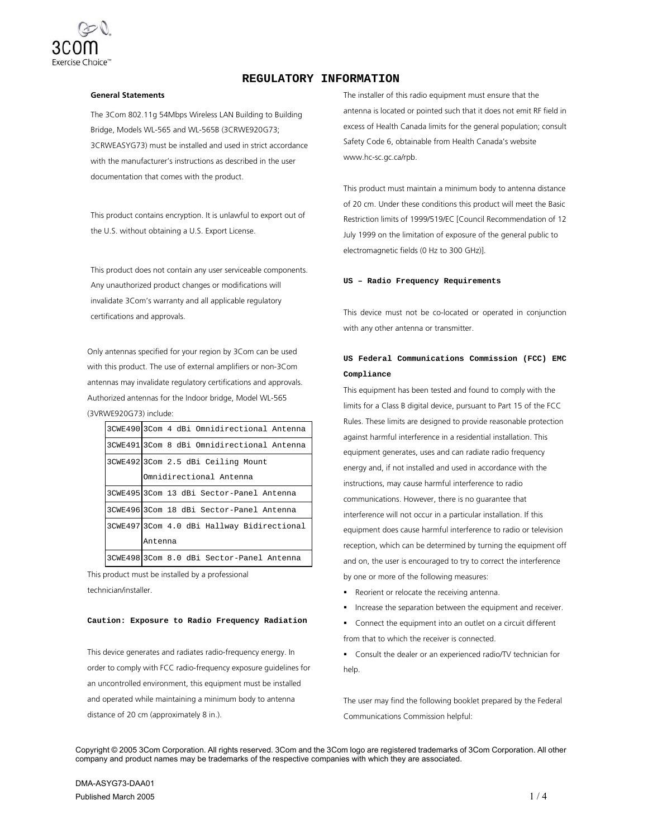

## **REGULATORY INFORMATION**

#### **General Statements**

The 3Com 802.11g 54Mbps Wireless LAN Building to Building Bridge, Models WL-565 and WL-565B (3CRWE920G73; 3CRWEASYG73) must be installed and used in strict accordance with the manufacturer's instructions as described in the user documentation that comes with the product.

This product contains encryption. It is unlawful to export out of the U.S. without obtaining a U.S. Export License.

This product does not contain any user serviceable components. Any unauthorized product changes or modifications will invalidate 3Com's warranty and all applicable regulatory certifications and approvals.

Only antennas specified for your region by 3Com can be used with this product. The use of external amplifiers or non-3Com antennas may invalidate regulatory certifications and approvals. Authorized antennas for the Indoor bridge, Model WL-565 (3VRWE920G73) include:

| 3CWE490 3Com 4 dBi Omnidirectional Antenna |
|--------------------------------------------|
| 3CWE491 3Com 8 dBi Omnidirectional Antenna |
| 3CWE492 3Com 2.5 dBi Ceiling Mount         |
| Omnidirectional Antenna                    |
| 3CWE495 3Com 13 dBi Sector-Panel Antenna   |
| 3CWE496 3Com 18 dBi Sector-Panel Antenna   |
| 3CWE497 3Com 4.0 dBi Hallway Bidirectional |
| Antenna                                    |
| 3CWE498 3Com 8.0 dBi Sector-Panel Antenna  |

This product must be installed by a professional technician/installer.

### **Caution: Exposure to Radio Frequency Radiation**

This device generates and radiates radio-frequency energy. In order to comply with FCC radio-frequency exposure guidelines for an uncontrolled environment, this equipment must be installed and operated while maintaining a minimum body to antenna distance of 20 cm (approximately 8 in.).

The installer of this radio equipment must ensure that the antenna is located or pointed such that it does not emit RF field in excess of Health Canada limits for the general population; consult Safety Code 6, obtainable from Health Canada's website www.hc-sc.gc.ca/rpb.

This product must maintain a minimum body to antenna distance of 20 cm. Under these conditions this product will meet the Basic Restriction limits of 1999/519/EC [Council Recommendation of 12 July 1999 on the limitation of exposure of the general public to electromagnetic fields (0 Hz to 300 GHz)].

#### **US – Radio Frequency Requirements**

This device must not be co-located or operated in conjunction with any other antenna or transmitter.

# **US Federal Communications Commission (FCC) EMC Compliance**

This equipment has been tested and found to comply with the limits for a Class B digital device, pursuant to Part 15 of the FCC Rules. These limits are designed to provide reasonable protection against harmful interference in a residential installation. This equipment generates, uses and can radiate radio frequency energy and, if not installed and used in accordance with the instructions, may cause harmful interference to radio communications. However, there is no guarantee that interference will not occur in a particular installation. If this equipment does cause harmful interference to radio or television reception, which can be determined by turning the equipment off and on, the user is encouraged to try to correct the interference by one or more of the following measures:

- Reorient or relocate the receiving antenna.
- **Increase the separation between the equipment and receiver.**
- Connect the equipment into an outlet on a circuit different

from that to which the receiver is connected.

 Consult the dealer or an experienced radio/TV technician for help.

The user may find the following booklet prepared by the Federal Communications Commission helpful:

Copyright © 2005 3Com Corporation. All rights reserved. 3Com and the 3Com logo are registered trademarks of 3Com Corporation. All other company and product names may be trademarks of the respective companies with which they are associated.

DMA-ASYG73-DAA01 Published March 2005  $1/4$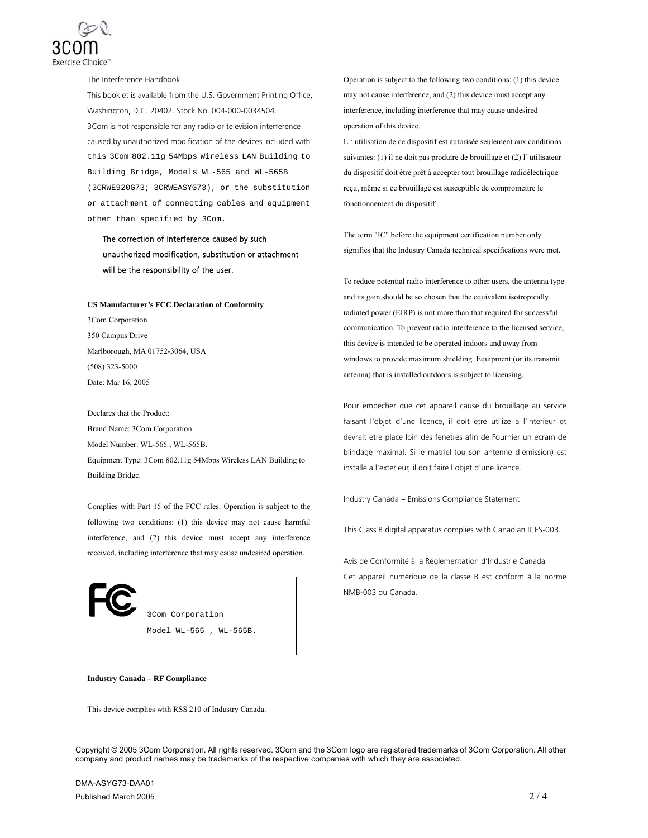

The Interference Handbook

This booklet is available from the U.S. Government Printing Office, Washington, D.C. 20402. Stock No. 004-000-0034504. 3Com is not responsible for any radio or television interference caused by unauthorized modification of the devices included with this 3Com 802.11g 54Mbps Wireless LAN Building to Building Bridge, Models WL-565 and WL-565B (3CRWE920G73; 3CRWEASYG73), or the substitution or attachment of connecting cables and equipment other than specified by 3Com.

# The correction of interference caused by such unauthorized modification, substitution or attachment will be the responsibility of the user.

**US Manufacturer's FCC Declaration of Conformity**  3Com Corporation 350 Campus Drive Marlborough, MA 01752-3064, USA (508) 323-5000 Date: Mar 16, 2005

Declares that the Product: Brand Name: 3Com Corporation Model Number: WL-565 , WL-565B. Equipment Type: 3Com 802.11g 54Mbps Wireless LAN Building to Building Bridge.

Complies with Part 15 of the FCC rules. Operation is subject to the following two conditions: (1) this device may not cause harmful interference, and (2) this device must accept any interference received, including interference that may cause undesired operation.

> 3Com Corporation Model WL-565 , WL-565B.

**Industry Canada – RF Compliance** 

This device complies with RSS 210 of Industry Canada.

Operation is subject to the following two conditions: (1) this device may not cause interference, and (2) this device must accept any interference, including interference that may cause undesired operation of this device.

L ' utilisation de ce dispositif est autorisée seulement aux conditions suivantes: (1) il ne doit pas produire de brouillage et (2) l' utilisateur du dispositif doit étre prêt à accepter tout brouillage radioélectrique reçu, même si ce brouillage est susceptible de compromettre le fonctionnement du dispositif.

The term "IC" before the equipment certification number only signifies that the Industry Canada technical specifications were met.

To reduce potential radio interference to other users, the antenna type and its gain should be so chosen that the equivalent isotropically radiated power (EIRP) is not more than that required for successful communication. To prevent radio interference to the licensed service, this device is intended to be operated indoors and away from windows to provide maximum shielding. Equipment (or its transmit antenna) that is installed outdoors is subject to licensing.

Pour empecher que cet appareil cause du brouillage au service faisant l'objet d'une licence, il doit etre utilize a l'interieur et devrait etre place loin des fenetres afin de Fournier un ecram de blindage maximal. Si le matriel (ou son antenne d'emission) est installe a l'exterieur, il doit faire l'objet d'une licence.

Industry Canada -- Emissions Compliance Statement

This Class B digital apparatus complies with Canadian ICES-003.

Avis de Conformité à la Réglementation d'Industrie Canada Cet appareil numérique de la classe B est conform à la norme NMB-003 du Canada.

Copyright © 2005 3Com Corporation. All rights reserved. 3Com and the 3Com logo are registered trademarks of 3Com Corporation. All other company and product names may be trademarks of the respective companies with which they are associated.

DMA-ASYG73-DAA01 Published March 2005  $2/4$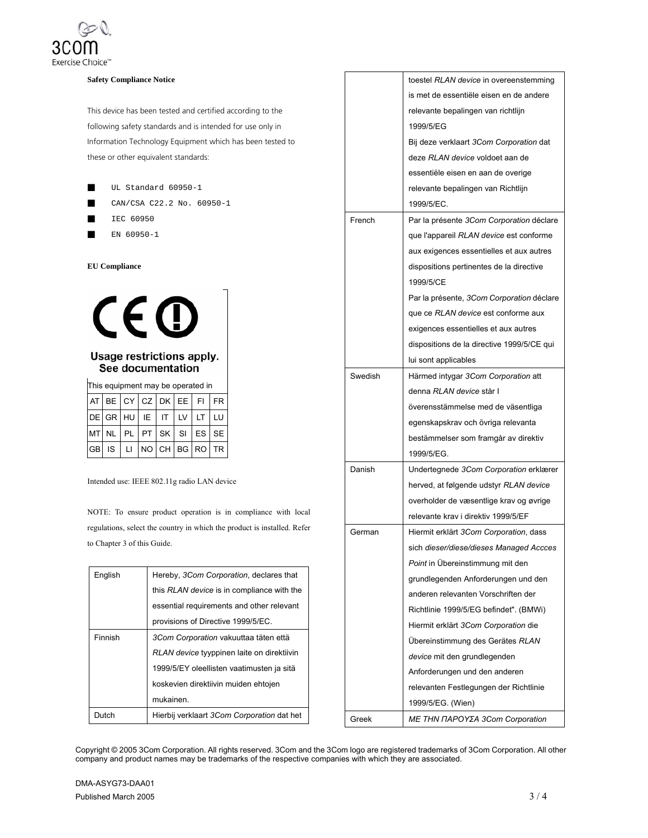

### **Safety Compliance Notice**

This device has been tested and certified according to the following safety standards and is intended for use only in Information Technology Equipment which has been tested to these or other equivalent standards:

- UL Standard 60950-1
- CAN/CSA C22.2 No. 60950-1
- IEC 60950
- EN 60950-1

#### **EU Compliance**



## Usage restrictions apply. See documentation

This equipment may be operated in

|  |  | $ \text{AT} $ BE $  \text{CY}  $ CZ $  \text{DK}  $ EE $  \text{FI}  $ FR |  |  |
|--|--|---------------------------------------------------------------------------|--|--|
|  |  | DE GR HU IE IT UV LT LU                                                   |  |  |
|  |  | MTNL PL PT SK SI ES SE                                                    |  |  |
|  |  | $ GB $ is $ L $ $ NO CH BG RO TR$                                         |  |  |

Intended use: IEEE 802.11g radio LAN device

NOTE: To ensure product operation is in compliance with local regulations, select the country in which the product is installed. Refer to Chapter 3 of this Guide.

| English | Hereby, 3Com Corporation, declares that    |
|---------|--------------------------------------------|
|         | this RLAN device is in compliance with the |
|         | essential requirements and other relevant  |
|         | provisions of Directive 1999/5/EC.         |
| Finnish | 3Com Corporation vakuuttaa täten että      |
|         | RLAN device tyyppinen laite on direktiivin |
|         | 1999/5/EY oleellisten vaatimusten ja sitä  |
|         | koskevien direktiivin muiden ehtojen       |
|         | mukainen.                                  |
| Dutch   | Hierbij verklaart 3Com Corporation dat het |

|         | toestel RLAN device in overeenstemming     |
|---------|--------------------------------------------|
|         | is met de essentiële eisen en de andere    |
|         | relevante bepalingen van richtlijn         |
|         | 1999/5/EG                                  |
|         | Bij deze verklaart 3Com Corporation dat    |
|         | deze RLAN device voldoet aan de            |
|         | essentiële eisen en aan de overige         |
|         | relevante bepalingen van Richtlijn         |
|         | 1999/5/EC.                                 |
| French  | Par la présente 3Com Corporation déclare   |
|         | que l'appareil RLAN device est conforme    |
|         | aux exigences essentielles et aux autres   |
|         | dispositions pertinentes de la directive   |
|         | 1999/5/CE                                  |
|         | Par la présente, 3Com Corporation déclare  |
|         | que ce RLAN device est conforme aux        |
|         | exigences essentielles et aux autres       |
|         | dispositions de la directive 1999/5/CE qui |
|         | lui sont applicables                       |
| Swedish | Härmed intygar 3Com Corporation att        |
|         | denna RLAN device står I                   |
|         | överensstämmelse med de väsentliga         |
|         | egenskapskrav och övriga relevanta         |
|         | bestämmelser som framgår av direktiv       |
|         | 1999/5/EG.                                 |
| Danish  | Undertegnede 3Com Corporation erklærer     |
|         | herved, at følgende udstyr RLAN device     |
|         | overholder de væsentlige krav og øvrige    |
|         | relevante krav i direktiv 1999/5/EF        |
| German  | Hiermit erklärt 3Com Corporation, dass     |
|         | sich dieser/diese/dieses Managed Accces    |
|         | Point in Übereinstimmung mit den           |
|         | grundlegenden Anforderungen und den        |
|         | anderen relevanten Vorschriften der        |
|         | Richtlinie 1999/5/EG befindet". (BMWi)     |
|         | Hiermit erklärt 3Com Corporation die       |
|         | Übereinstimmung des Gerätes RLAN           |
|         | device mit den grundlegenden               |
|         | Anforderungen und den anderen              |
|         | relevanten Festlegungen der Richtlinie     |
|         | 1999/5/EG. (Wien)                          |
| Greek   | ΜΕ ΤΗΝ ΠΑΡΟΥΣΑ 3Com Corporation            |
|         |                                            |

Copyright © 2005 3Com Corporation. All rights reserved. 3Com and the 3Com logo are registered trademarks of 3Com Corporation. All other company and product names may be trademarks of the respective companies with which they are associated.